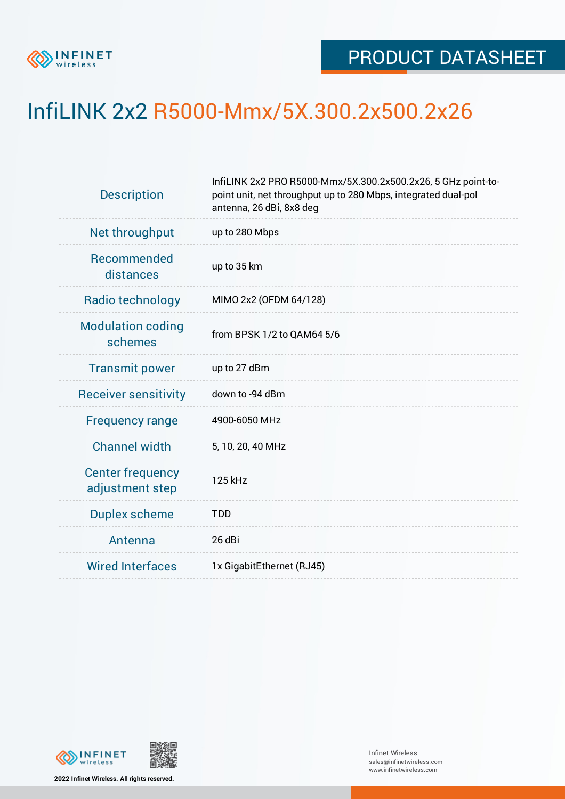

## InfiLINK 2x2 R5000-Mmx/5X.300.2x500.2x26

| <b>Description</b>                         | InfiLINK 2x2 PRO R5000-Mmx/5X.300.2x500.2x26, 5 GHz point-to-<br>point unit, net throughput up to 280 Mbps, integrated dual-pol<br>antenna, 26 dBi, 8x8 deg |  |  |  |  |
|--------------------------------------------|-------------------------------------------------------------------------------------------------------------------------------------------------------------|--|--|--|--|
| Net throughput                             | up to 280 Mbps                                                                                                                                              |  |  |  |  |
| Recommended<br>distances                   | up to 35 km                                                                                                                                                 |  |  |  |  |
| Radio technology                           | MIMO 2x2 (OFDM 64/128)                                                                                                                                      |  |  |  |  |
| <b>Modulation coding</b><br>schemes        | from BPSK 1/2 to QAM64 5/6                                                                                                                                  |  |  |  |  |
| <b>Transmit power</b>                      | up to 27 dBm                                                                                                                                                |  |  |  |  |
| <b>Receiver sensitivity</b>                | down to -94 dBm                                                                                                                                             |  |  |  |  |
| <b>Frequency range</b>                     | 4900-6050 MHz                                                                                                                                               |  |  |  |  |
| <b>Channel width</b>                       | 5, 10, 20, 40 MHz                                                                                                                                           |  |  |  |  |
| <b>Center frequency</b><br>adjustment step | 125 kHz                                                                                                                                                     |  |  |  |  |
| <b>Duplex scheme</b>                       | <b>TDD</b>                                                                                                                                                  |  |  |  |  |
| Antenna                                    | 26 dBi                                                                                                                                                      |  |  |  |  |
| <b>Wired Interfaces</b>                    | 1x GigabitEthernet (RJ45)                                                                                                                                   |  |  |  |  |
|                                            |                                                                                                                                                             |  |  |  |  |



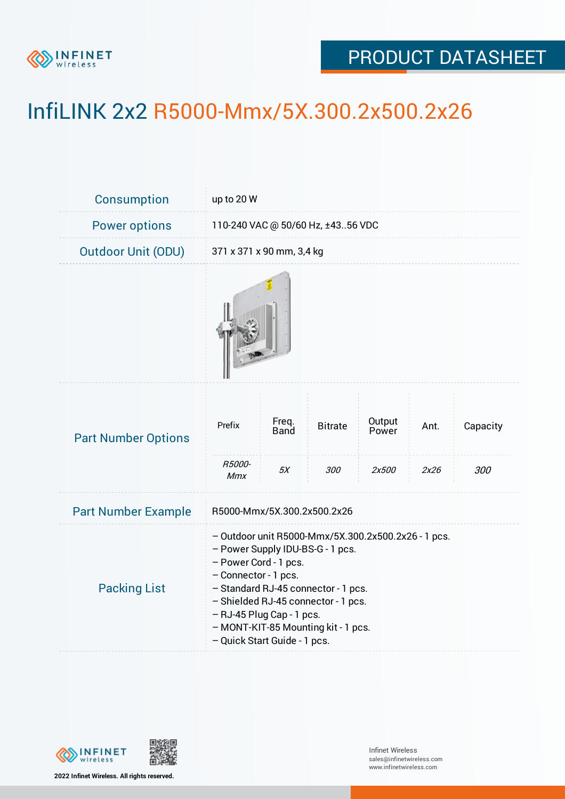

## PRODUCT DATASHEET

## InfiLINK 2x2 R5000-Mmx/5X.300.2x500.2x26

| <b>Consumption</b>         | up to 20 W                                                                                                                                                                                                                                                                                                                 |                              |                       |                          |              |                 |  |  |
|----------------------------|----------------------------------------------------------------------------------------------------------------------------------------------------------------------------------------------------------------------------------------------------------------------------------------------------------------------------|------------------------------|-----------------------|--------------------------|--------------|-----------------|--|--|
| <b>Power options</b>       | 110-240 VAC @ 50/60 Hz, ±4356 VDC                                                                                                                                                                                                                                                                                          |                              |                       |                          |              |                 |  |  |
| <b>Outdoor Unit (ODU)</b>  | 371 x 371 x 90 mm, 3,4 kg                                                                                                                                                                                                                                                                                                  |                              |                       |                          |              |                 |  |  |
|                            |                                                                                                                                                                                                                                                                                                                            |                              |                       |                          |              |                 |  |  |
| <b>Part Number Options</b> | Prefix<br>R5000-                                                                                                                                                                                                                                                                                                           | Freq.<br><b>Band</b><br>$5X$ | <b>Bitrate</b><br>300 | Output<br>Power<br>2x500 | Ant.<br>2x26 | Capacity<br>300 |  |  |
| <b>Part Number Example</b> | <b>Mmx</b><br>R5000-Mmx/5X.300.2x500.2x26                                                                                                                                                                                                                                                                                  |                              |                       |                          |              |                 |  |  |
| <b>Packing List</b>        | - Outdoor unit R5000-Mmx/5X.300.2x500.2x26 - 1 pcs.<br>- Power Supply IDU-BS-G - 1 pcs.<br>- Power Cord - 1 pcs.<br>- Connector - 1 pcs.<br>- Standard RJ-45 connector - 1 pcs.<br>- Shielded RJ-45 connector - 1 pcs.<br>- RJ-45 Plug Cap - 1 pcs.<br>- MONT-KIT-85 Mounting kit - 1 pcs.<br>- Quick Start Guide - 1 pcs. |                              |                       |                          |              |                 |  |  |



**2022 Infinet Wireless. All rights reserved.**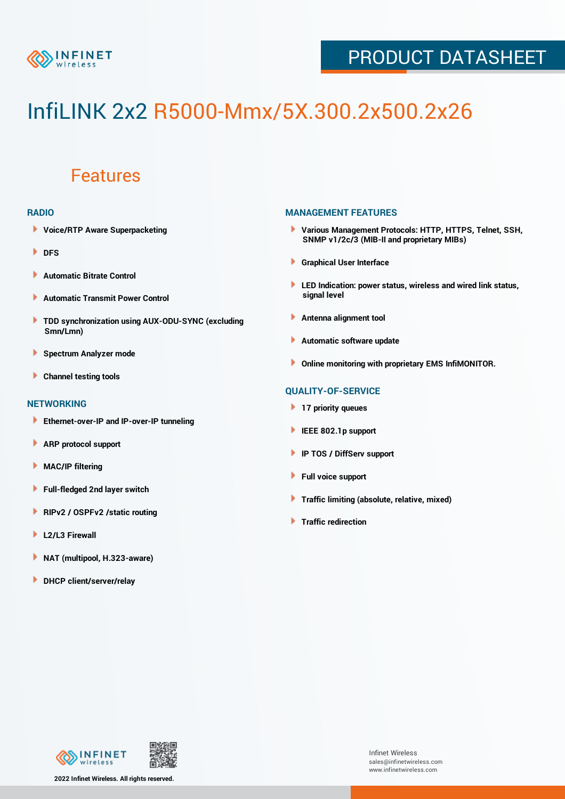

## PRODUCT DATASHEET

# InfiLINK 2x2 R5000-Mmx/5X.300.2x500.2x26

### Features

#### **RADIO**

- **Voice/RTP Aware Superpacketing**
- **DFS**
- **Automatic Bitrate Control** Þ
- Þ **Automatic Transmit Power Control**
- ь **TDD synchronization using AUX-ODU-SYNC (excluding Smn/Lmn)**
- **Spectrum Analyzer mode** ۰
- **Channel testing tools** ١

#### **NETWORKING**

- **Ethernet-over-IP and IP-over-IP tunneling**
- **ARP protocol support** ٠
- ۱ **MAC/IP filtering**
- Þ **Full-fledged 2nd layer switch**
- Þ **RIPv2 / OSPFv2 /static routing**
- **L2/L3 Firewall** Þ
- **NAT (multipool, H.323-aware)** Þ
- Þ **DHCP client/server/relay**

#### **MANAGEMENT FEATURES**

- **Various Management Protocols: HTTP, HTTPS, Telnet, SSH, SNMP v1/2c/3 (MIB-II and proprietary MIBs)**
- **Graphical User Interface**
- **LED Indication: power status, wireless and wired link status, signal level**
- **Antenna alignment tool**
- ٠ **Automatic software update**
- **Online monitoring with proprietary EMS InfiMONITOR.**

#### **QUALITY-OF-SERVICE**

- **17 priority queues**
- **IEEE 802.1p support**
- **IP TOS / DiffServ support**
- ٠ **Full voice support**
- **Traffic limiting (absolute, relative, mixed)** ٠
- **Traffic redirection**